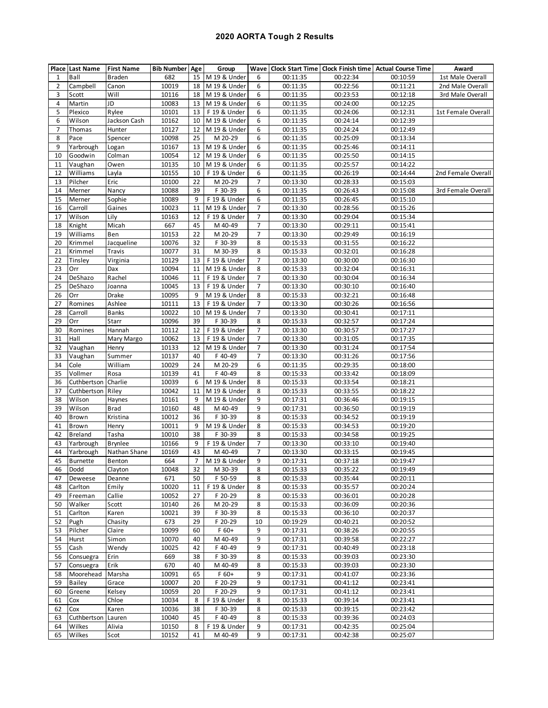## **2020 AORTA Tough 2 Results**

|                | Place Last Name        | <b>First Name</b>              | <b>Bib Number Age</b> |                | Group                        |                |                      |                      | Wave   Clock Start Time   Clock Finish time   Actual Course Time | Award              |
|----------------|------------------------|--------------------------------|-----------------------|----------------|------------------------------|----------------|----------------------|----------------------|------------------------------------------------------------------|--------------------|
| 1              | Ball                   | Braden                         | 682                   | 15             | M 19 & Under                 | 6              | 00:11:35             | 00:22:34             | 00:10:59                                                         | 1st Male Overall   |
| $\overline{2}$ | Campbell               | Canon                          | 10019                 | 18             | M 19 & Under                 | 6              | 00:11:35             | 00:22:56             | 00:11:21                                                         | 2nd Male Overall   |
| 3              | Scott                  | Will                           | 10116                 | 18             | M 19 & Under                 | 6              | 00:11:35             | 00:23:53             | 00:12:18                                                         | 3rd Male Overall   |
| 4              | Martin                 | JD                             | 10083                 | 13             | M 19 & Under                 | 6              | 00:11:35             | 00:24:00             | 00:12:25                                                         |                    |
| 5              | Plexico                | Rylee                          | 10101                 | 13             | F 19 & Under                 | 6              | 00:11:35             | 00:24:06             | 00:12:31                                                         | 1st Female Overall |
| 6              | Wilson                 | Jackson Cash                   | 10162                 | 10             | M 19 & Under                 | 6              | 00:11:35             | 00:24:14             | 00:12:39                                                         |                    |
| 7              | Thomas                 | Hunter                         | 10127                 | 12             | M 19 & Under                 | 6              | 00:11:35             | 00:24:24             | 00:12:49                                                         |                    |
| 8              | Pace                   | Spencer                        | 10098                 | 25             | M 20-29                      | 6              | 00:11:35             | 00:25:09             | 00:13:34                                                         |                    |
| 9              | Yarbrough              | Logan                          | 10167                 | 13             | M 19 & Under                 | 6              | 00:11:35             | 00:25:46             | 00:14:11                                                         |                    |
| 10             | Goodwin                | Colman                         | 10054                 | 12             | M 19 & Under                 | 6              | 00:11:35             | 00:25:50             | 00:14:15                                                         |                    |
| 11             | Vaughan                | Owen                           | 10135                 | 10             | M 19 & Under                 | 6              | 00:11:35             | 00:25:57             | 00:14:22                                                         |                    |
| 12             | Williams               | Layla                          | 10155                 | 10             | F 19 & Under                 | 6              | 00:11:35             | 00:26:19             | 00:14:44                                                         | 2nd Female Overall |
| 13             | Pilcher                | Eric                           | 10100                 | 22             | M 20-29                      | 7              | 00:13:30             | 00:28:33             | 00:15:03                                                         |                    |
| 14             | Merner                 | Nancy                          | 10088                 | 39             | F 30-39                      | 6              | 00:11:35             | 00:26:43             | 00:15:08                                                         | 3rd Female Overall |
| 15<br>16       | Merner<br>Carroll      | Sophie<br>Gaines               | 10089<br>10023        | 9<br>11        | F 19 & Under<br>M 19 & Under | 6<br>7         | 00:11:35<br>00:13:30 | 00:26:45<br>00:28:56 | 00:15:10<br>00:15:26                                             |                    |
| 17             | Wilson                 | Lily                           | 10163                 | 12             | F 19 & Under                 | 7              | 00:13:30             | 00:29:04             | 00:15:34                                                         |                    |
| 18             | Knight                 | Micah                          | 667                   | 45             | M 40-49                      | 7              | 00:13:30             | 00:29:11             | 00:15:41                                                         |                    |
| 19             | Williams               | Ben                            | 10153                 | 22             | M 20-29                      | $\overline{7}$ | 00:13:30             | 00:29:49             | 00:16:19                                                         |                    |
| 20             | Krimmel                | Jacqueline                     | 10076                 | 32             | F 30-39                      | 8              | 00:15:33             | 00:31:55             | 00:16:22                                                         |                    |
| 21             | Krimmel                | Travis                         | 10077                 | 31             | M 30-39                      | 8              | 00:15:33             | 00:32:01             | 00:16:28                                                         |                    |
| 22             | Tinsley                | Virginia                       | 10129                 | 13             | F 19 & Under                 | $\overline{7}$ | 00:13:30             | 00:30:00             | 00:16:30                                                         |                    |
| 23             | Orr                    | Dax                            | 10094                 | 11             | M 19 & Under                 | 8              | 00:15:33             | 00:32:04             | 00:16:31                                                         |                    |
| 24             | DeShazo                | Rachel                         | 10046                 | 11             | F 19 & Under                 | 7              | 00:13:30             | 00:30:04             | 00:16:34                                                         |                    |
| 25             | DeShazo                | Joanna                         | 10045                 | 13             | F 19 & Under                 | 7              | 00:13:30             | 00:30:10             | 00:16:40                                                         |                    |
| 26             | Orr                    | Drake                          | 10095                 | 9              | M 19 & Under                 | 8              | 00:15:33             | 00:32:21             | 00:16:48                                                         |                    |
| 27             | Romines                | Ashlee                         | 10111                 | 13             | F 19 & Under                 | 7              | 00:13:30             | 00:30:26             | 00:16:56                                                         |                    |
| 28             | Carroll                | Banks                          | 10022                 | 10             | M 19 & Under                 | 7              | 00:13:30             | 00:30:41             | 00:17:11                                                         |                    |
| 29             | Orr                    | Starr                          | 10096                 | 39             | F 30-39                      | 8              | 00:15:33             | 00:32:57             | 00:17:24                                                         |                    |
| 30             | Romines                | Hannah                         | 10112                 | 12             | F 19 & Under                 | $\overline{7}$ | 00:13:30             | 00:30:57             | 00:17:27                                                         |                    |
| 31             | Hall                   | Mary Margo                     | 10062                 | 13             | F 19 & Under                 | 7              | 00:13:30             | 00:31:05             | 00:17:35                                                         |                    |
| 32             | Vaughan                | Henry                          | 10133                 | 12             | M 19 & Under                 | 7              | 00:13:30             | 00:31:24             | 00:17:54                                                         |                    |
| 33             | Vaughan                | Summer                         | 10137                 | 40             | F 40-49                      | 7              | 00:13:30             | 00:31:26             | 00:17:56                                                         |                    |
| 34             | Cole                   | William                        | 10029                 | 24             | M 20-29                      | 6              | 00:11:35             | 00:29:35             | 00:18:00                                                         |                    |
| 35             | Vollmer                | Rosa                           | 10139                 | 41             | F 40-49                      | 8              | 00:15:33             | 00:33:42             | 00:18:09                                                         |                    |
| 36             | Cuthbertson            | Charlie                        | 10039                 | 6              | M 19 & Under                 | 8              | 00:15:33             | 00:33:54             | 00:18:21                                                         |                    |
| 37             | Cuthbertson            | Riley                          | 10042                 | 11             | M 19 & Under                 | 8              | 00:15:33             | 00:33:55             | 00:18:22                                                         |                    |
| 38             | Wilson                 | Haynes                         | 10161                 | 9              | M 19 & Under                 | 9              | 00:17:31             | 00:36:46             | 00:19:15                                                         |                    |
| 39             | Wilson                 | <b>Brad</b>                    | 10160                 | 48             | M 40-49                      | 9              | 00:17:31             | 00:36:50             | 00:19:19                                                         |                    |
| 40             | Brown                  | Kristina                       | 10012                 | 36             | F 30-39                      | 8              | 00:15:33             | 00:34:52             | 00:19:19                                                         |                    |
| 41             | Brown                  | Henry                          | 10011                 | 9              | M 19 & Under                 | 8              | 00:15:33             | 00:34:53             | 00:19:20                                                         |                    |
| 42<br>43       | <b>Breland</b>         | Tasha                          | 10010                 | 38<br>9        | F 30-39                      | 8<br>7         | 00:15:33<br>00:13:30 | 00:34:58             | 00:19:25                                                         |                    |
| 44             | Yarbrough<br>Yarbrough | <b>Brynlee</b><br>Nathan Shane | 10166<br>10169        | 43             | F 19 & Under<br>M 40-49      | 7              | 00:13:30             | 00:33:10<br>00:33:15 | 00:19:40<br>00:19:45                                             |                    |
| 45             | <b>Burnette</b>        | Benton                         | 664                   | $\overline{7}$ | M 19 & Under                 | 9              | 00:17:31             | 00:37:18             | 00:19:47                                                         |                    |
| 46             | Dodd                   | Clayton                        | 10048                 | 32             | M 30-39                      | 8              | 00:15:33             | 00:35:22             | 00:19:49                                                         |                    |
| 47             | Deweese                | Deanne                         | 671                   | 50             | F 50-59                      | 8              | 00:15:33             | 00:35:44             | 00:20:11                                                         |                    |
| 48             | Carlton                | Emily                          | 10020                 | 11             | F 19 & Under                 | 8              | 00:15:33             | 00:35:57             | 00:20:24                                                         |                    |
| 49             | Freeman                | Callie                         | 10052                 | 27             | F 20-29                      | 8              | 00:15:33             | 00:36:01             | 00:20:28                                                         |                    |
| 50             | Walker                 | Scott                          | 10140                 | 26             | M 20-29                      | 8              | 00:15:33             | 00:36:09             | 00:20:36                                                         |                    |
| 51             | Carlton                | Karen                          | 10021                 | 39             | F 30-39                      | 8              | 00:15:33             | 00:36:10             | 00:20:37                                                         |                    |
| 52             | Pugh                   | Chasity                        | 673                   | 29             | F 20-29                      | 10             | 00:19:29             | 00:40:21             | 00:20:52                                                         |                    |
| 53             | Pilcher                | Claire                         | 10099                 | 60             | $F 60+$                      | 9              | 00:17:31             | 00:38:26             | 00:20:55                                                         |                    |
| 54             | Hurst                  | Simon                          | 10070                 | 40             | M 40-49                      | 9              | 00:17:31             | 00:39:58             | 00:22:27                                                         |                    |
| 55             | Cash                   | Wendy                          | 10025                 | 42             | F 40-49                      | 9              | 00:17:31             | 00:40:49             | 00:23:18                                                         |                    |
| 56             | Consuegra              | Erin                           | 669                   | 38             | F 30-39                      | 8              | 00:15:33             | 00:39:03             | 00:23:30                                                         |                    |
| 57             | Consuegra              | Erik                           | 670                   | 40             | M 40-49                      | 8              | 00:15:33             | 00:39:03             | 00:23:30                                                         |                    |
| 58             | Moorehead              | Marsha                         | 10091                 | 65             | $F 60+$                      | 9              | 00:17:31             | 00:41:07             | 00:23:36                                                         |                    |
| 59             | <b>Bailey</b>          | Grace                          | 10007                 | 20             | F 20-29                      | 9              | 00:17:31             | 00:41:12             | 00:23:41                                                         |                    |
| 60             | Greene                 | Kelsey                         | 10059                 | 20             | F 20-29                      | 9              | 00:17:31             | 00:41:12             | 00:23:41                                                         |                    |
| 61             | Cox                    | Chloe                          | 10034                 | 8              | F 19 & Under                 | 8              | 00:15:33             | 00:39:14             | 00:23:41                                                         |                    |
| 62             | Cox                    | Karen                          | 10036                 | 38             | F 30-39                      | 8              | 00:15:33             | 00:39:15             | 00:23:42                                                         |                    |
| 63             | Cuthbertson            | Lauren                         | 10040                 | 45             | F 40-49                      | 8              | 00:15:33             | 00:39:36             | 00:24:03                                                         |                    |
| 64             | Wilkes                 | Alivia                         | 10150                 | 8              | F 19 & Under                 | 9              | 00:17:31             | 00:42:35             | 00:25:04                                                         |                    |
| 65             | Wilkes                 | Scot                           | 10152                 | 41             | M 40-49                      | 9              | 00:17:31             | 00:42:38             | 00:25:07                                                         |                    |